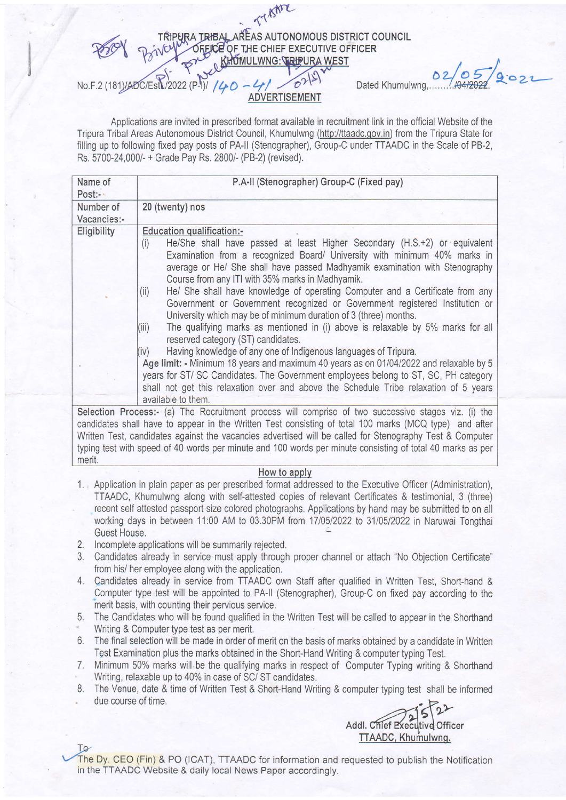

Applications are invited in prescribed format available in recruitment link in the offlcial Website of the Tripura Tribal Areas Autonomous District Council, Khumulwng (hftp://ttaadc.qov.in) from the Tripura State for filling up to following fixed pay posts of PA-II (Stenographer), Group-C under TTAADC in the Scale of PB-2, Rs. 5700-24,000/- + Grade Pay Rs. 2800/- (PB-2) (revised).

| Name of<br>Post:         | P.A-II (Stenographer) Group-C (Fixed pay)                                                                                                                                                                                                                                                                                                                                                                                                             |  |
|--------------------------|-------------------------------------------------------------------------------------------------------------------------------------------------------------------------------------------------------------------------------------------------------------------------------------------------------------------------------------------------------------------------------------------------------------------------------------------------------|--|
| Number of<br>Vacancies:- | 20 (twenty) nos                                                                                                                                                                                                                                                                                                                                                                                                                                       |  |
| Eligibility              | Education qualification:-<br>He/She shall have passed at least Higher Secondary (H.S.+2) or equivalent<br>(i)<br>Examination from a recognized Board/ University with minimum 40% marks in<br>average or He/ She shall have passed Madhyamik examination with Stenography<br>Course from any ITI with 35% marks in Madhyamik.                                                                                                                         |  |
|                          | He/ She shall have knowledge of operating Computer and a Certificate from any<br>(ii)<br>Government or Government recognized or Government registered Institution or<br>University which may be of minimum duration of 3 (three) months.<br>The qualifying marks as mentioned in (i) above is relaxable by 5% marks for all<br>(III)<br>reserved category (ST) candidates.<br>Having knowledge of any one of Indigenous languages of Tripura.<br>(iv) |  |
|                          | Age limit: - Minimum 18 years and maximum 40 years as on 01/04/2022 and relaxable by 5<br>years for ST/SC Candidates. The Government employees belong to ST, SC, PH category<br>shall not get this relaxation over and above the Schedule Tribe relaxation of 5 years<br>available to them.                                                                                                                                                           |  |
|                          | Selection Process:- (a) The Recruitment process will comprise of two successive stages viz. (i) the<br>candidates shall have to appear in the Written Test consisting of total 100 marks (MCQ type) and after                                                                                                                                                                                                                                         |  |

candidates shall have to appear in the Writlen Test consisting of total 100 marks (MCQ type) and after Written Test, candidates against the vacancies advertised will be called for Stenography Test & Computer typing test with speed of 40 words per minute and 100 words per minute consisting of total 40 marks as per merit.

## How to applv

- 1. Application in plain paper as per prescribed format addressed to the Executive Officer (Administration), TTAADC, Khumulwng along with self-attested copies of relevant Certificates & testimonial, 3 (three) .. recent self attested passport size colored photographs. Applications by hand may be submitted to on all working days in between 11:00 AM to 03.30PM trom 1710512022 to 3110512022 in Naruwai Tongthai Guest House,
- 2. Incomplete applications will be summarily rejected
- Candidates already in service must apply through proper channel or attach "No objection Certificate" 3. from his/ her employee along with the application.
- 4. Candidates already in service from TTAADC own Staff after qualified in Written Test, Short-hand & Computer type test will be appointed to PA-ll (Stenographer), Group-C on fixed pay according to the merit basis, with counting their pervious service.
- 5. The Candidates who will be found qualified in the Written Test will be called to appear in the Shorthand
- Writing & Computer type test as per merit.
- 6. The final selection will be made in order of merit on the basis of marks obtained by a candidate in Writter Test Examination plus the marks obtained in the Short-Hand Writing & computer typing Test.
- 7. Minimum 50% marks will be the qualifying marks in respect of Computer Typing writing & Shorthand Writing, relaxable up to 40% in case of SC/ ST candidates,
- 8. The Venue, date & time of Written Test & Short-Hand Writing & computer typing test shall be informed due course of time.

ddl. Chief Executive Office TTAADC, Khumulwng.

To<br>The Dy. CEO (Fin) & PO (ICAT), TTAADC for information and requested to publish the Notification in the TTAADC Website & daily local News Paper accordingly.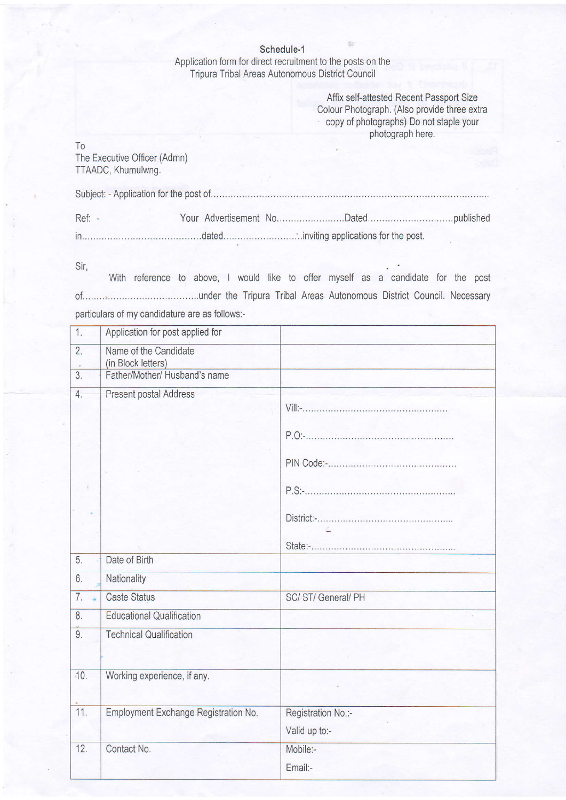Schedule-1

Application form for direct recruitment to the posts on the Tripura Tribal Areas Autonomous District Council

> Affix self-attested Recent Passport Size Colour Photograph. (Also provide three extra . copy of photographs) Do not staple your photograph here.

To

The Executive Oficer (Admn) TTAADC, Khumulwng.

| $Ref: -$ |  |  |
|----------|--|--|
|          |  |  |

Sir,

With reference to above, I would like to offer myself as a candidate for the post 0f.........................................under the Tripura Tribal Areas Autonomous District Council. Necessary particulars of my candidature are as follows:-

| 1.               | Application for post applied for            |                    |
|------------------|---------------------------------------------|--------------------|
| $\overline{2}$ . | Name of the Candidate<br>(in Block letters) |                    |
| $\overline{3}$ . | Father/Mother/ Husband's name               |                    |
| 4.               | Present postal Address                      |                    |
|                  |                                             |                    |
|                  |                                             |                    |
|                  |                                             |                    |
|                  |                                             |                    |
|                  |                                             | Ł.                 |
|                  |                                             |                    |
| 5.               | Date of Birth                               |                    |
| 6.               | Nationality                                 |                    |
| 7.               | <b>Caste Status</b>                         | SC/ST/General/PH   |
| 8.               | <b>Educational Qualification</b>            |                    |
| 9.               | <b>Technical Qualification</b>              |                    |
| 10.              | Working experience, if any.                 |                    |
| 11.              | Employment Exchange Registration No.        | Registration No.:- |
|                  |                                             | Valid up to:-      |
| 12.              | Contact No.                                 | Mobile:-           |
|                  |                                             | Email:-            |